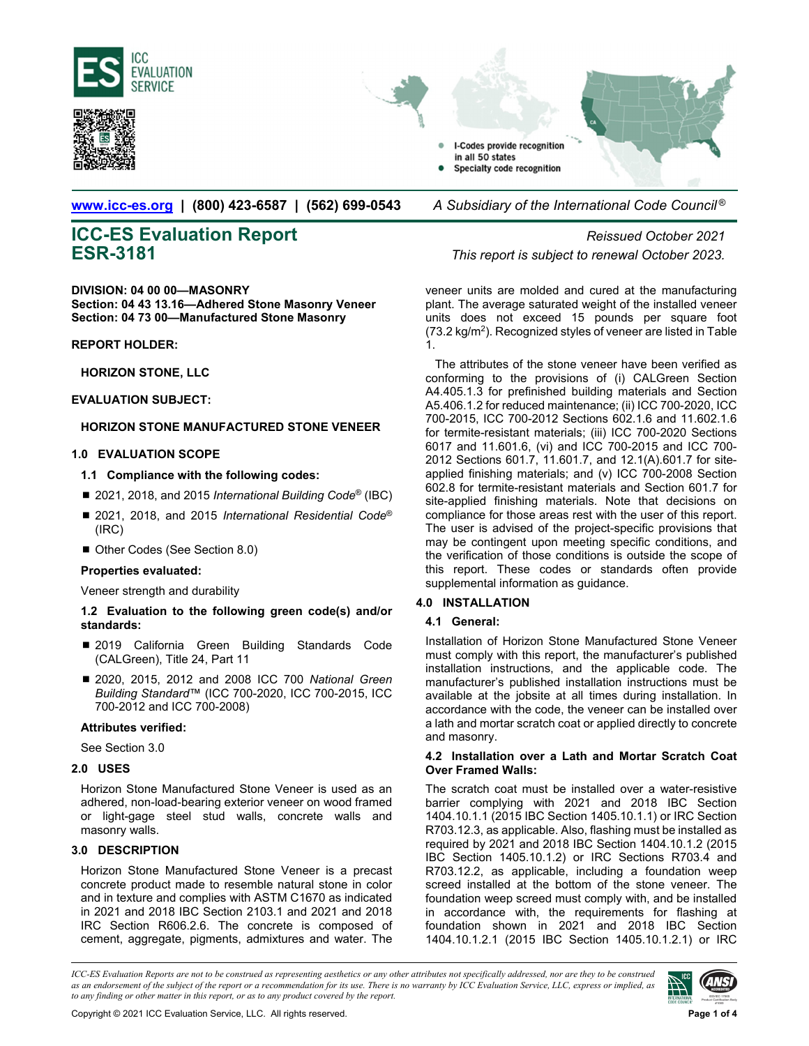





**www.icc-es.org | (800) 423-6587 | (562) 699-0543** *A Subsidiary of the International Code Council ®* 

# **ICC-ES Evaluation Report** *Reissued October 2021*

**DIVISION: 04 00 00—MASONRY Section: 04 43 13.16—Adhered Stone Masonry Veneer Section: 04 73 00—Manufactured Stone Masonry**

### **REPORT HOLDER:**

**HORIZON STONE, LLC** 

### **EVALUATION SUBJECT:**

### **HORIZON STONE MANUFACTURED STONE VENEER**

### **1.0 EVALUATION SCOPE**

- **1.1 Compliance with the following codes:**
- 2021, 2018, and 2015 *International Building Code<sup>®</sup>* (IBC)
- 2021, 2018, and 2015 *International Residential Code*<sup>®</sup> (IRC)
- Other Codes (See Section 8.0)

### **Properties evaluated:**

Veneer strength and durability

### **1.2 Evaluation to the following green code(s) and/or standards:**

- 2019 California Green Building Standards Code (CALGreen), Title 24, Part 11
- 2020, 2015, 2012 and 2008 ICC 700 *National Green Building Standard*™ (ICC 700-2020, ICC 700-2015, ICC 700-2012 and ICC 700-2008)

### **Attributes verified:**

See Section 3.0

### **2.0 USES**

Horizon Stone Manufactured Stone Veneer is used as an adhered, non-load-bearing exterior veneer on wood framed or light-gage steel stud walls, concrete walls and masonry walls.

### **3.0 DESCRIPTION**

Horizon Stone Manufactured Stone Veneer is a precast concrete product made to resemble natural stone in color and in texture and complies with ASTM C1670 as indicated in 2021 and 2018 IBC Section 2103.1 and 2021 and 2018 IRC Section R606.2.6. The concrete is composed of cement, aggregate, pigments, admixtures and water. The

**ESR-3181** *This report is subject to renewal October 2023.* 

veneer units are molded and cured at the manufacturing plant. The average saturated weight of the installed veneer units does not exceed 15 pounds per square foot (73.2 kg/m2). Recognized styles of veneer are listed in Table 1.

The attributes of the stone veneer have been verified as conforming to the provisions of (i) CALGreen Section A4.405.1.3 for prefinished building materials and Section A5.406.1.2 for reduced maintenance; (ii) ICC 700-2020, ICC 700-2015, ICC 700-2012 Sections 602.1.6 and 11.602.1.6 for termite-resistant materials; (iii) ICC 700-2020 Sections 6017 and 11.601.6, (vi) and ICC 700-2015 and ICC 700- 2012 Sections 601.7, 11.601.7, and 12.1(A).601.7 for siteapplied finishing materials; and (v) ICC 700-2008 Section 602.8 for termite-resistant materials and Section 601.7 for site-applied finishing materials. Note that decisions on compliance for those areas rest with the user of this report. The user is advised of the project-specific provisions that may be contingent upon meeting specific conditions, and the verification of those conditions is outside the scope of this report. These codes or standards often provide supplemental information as guidance.

### **4.0 INSTALLATION**

### **4.1 General:**

Installation of Horizon Stone Manufactured Stone Veneer must comply with this report, the manufacturer's published installation instructions, and the applicable code. The manufacturer's published installation instructions must be available at the jobsite at all times during installation. In accordance with the code, the veneer can be installed over a lath and mortar scratch coat or applied directly to concrete and masonry.

### **4.2 Installation over a Lath and Mortar Scratch Coat Over Framed Walls:**

The scratch coat must be installed over a water-resistive barrier complying with 2021 and 2018 IBC Section 1404.10.1.1 (2015 IBC Section 1405.10.1.1) or IRC Section R703.12.3, as applicable. Also, flashing must be installed as required by 2021 and 2018 IBC Section 1404.10.1.2 (2015 IBC Section 1405.10.1.2) or IRC Sections R703.4 and R703.12.2, as applicable, including a foundation weep screed installed at the bottom of the stone veneer. The foundation weep screed must comply with, and be installed in accordance with, the requirements for flashing at foundation shown in 2021 and 2018 IBC Section 1404.10.1.2.1 (2015 IBC Section 1405.10.1.2.1) or IRC

*ICC-ES Evaluation Reports are not to be construed as representing aesthetics or any other attributes not specifically addressed, nor are they to be construed as an endorsement of the subject of the report or a recommendation for its use. There is no warranty by ICC Evaluation Service, LLC, express or implied, as to any finding or other matter in this report, or as to any product covered by the report.*

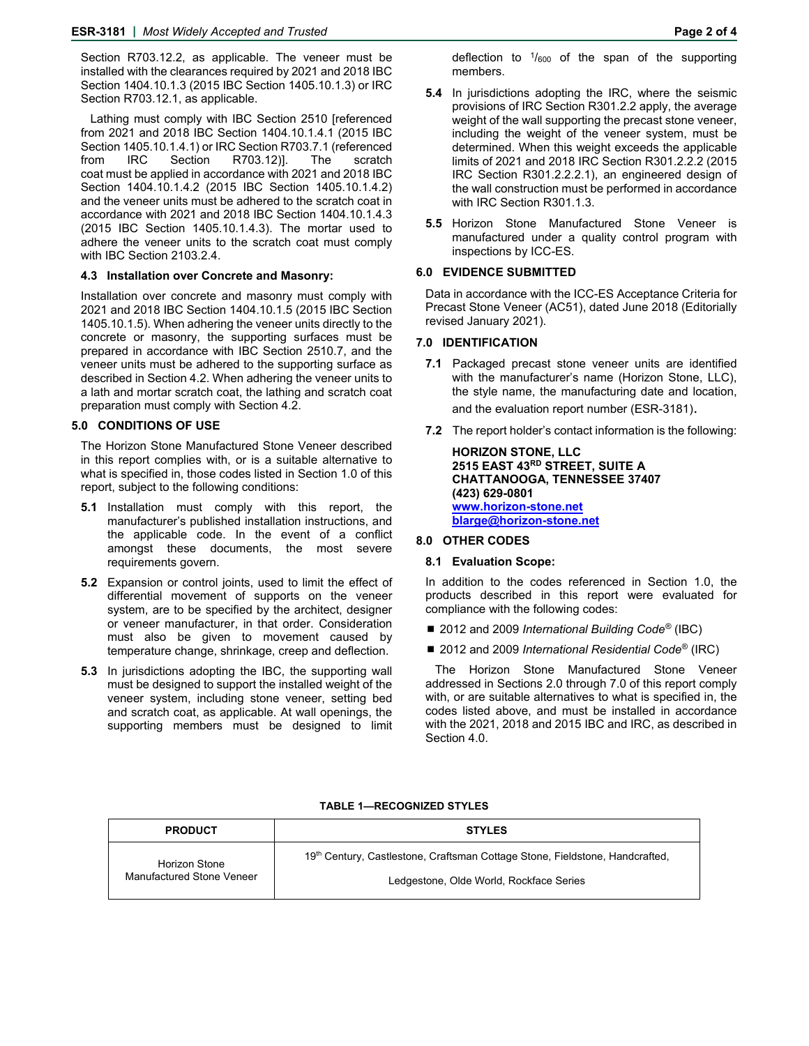Section R703.12.2, as applicable. The veneer must be installed with the clearances required by 2021 and 2018 IBC Section 1404.10.1.3 (2015 IBC Section 1405.10.1.3) or IRC Section R703.12.1, as applicable.

Lathing must comply with IBC Section 2510 [referenced from 2021 and 2018 IBC Section 1404.10.1.4.1 (2015 IBC Section 1405.10.1.4.1) or IRC Section R703.7.1 (referenced from IRC Section R703.12)]. The scratch coat must be applied in accordance with 2021 and 2018 IBC Section 1404.10.1.4.2 (2015 IBC Section 1405.10.1.4.2) and the veneer units must be adhered to the scratch coat in accordance with 2021 and 2018 IBC Section 1404.10.1.4.3 (2015 IBC Section 1405.10.1.4.3). The mortar used to adhere the veneer units to the scratch coat must comply with IBC Section 2103.2.4.

### **4.3 Installation over Concrete and Masonry:**

Installation over concrete and masonry must comply with 2021 and 2018 IBC Section 1404.10.1.5 (2015 IBC Section 1405.10.1.5). When adhering the veneer units directly to the concrete or masonry, the supporting surfaces must be prepared in accordance with IBC Section 2510.7, and the veneer units must be adhered to the supporting surface as described in Section 4.2. When adhering the veneer units to a lath and mortar scratch coat, the lathing and scratch coat preparation must comply with Section 4.2.

### **5.0 CONDITIONS OF USE**

The Horizon Stone Manufactured Stone Veneer described in this report complies with, or is a suitable alternative to what is specified in, those codes listed in Section 1.0 of this report, subject to the following conditions:

- **5.1** Installation must comply with this report, the manufacturer's published installation instructions, and the applicable code. In the event of a conflict amongst these documents, the most severe requirements govern.
- **5.2** Expansion or control joints, used to limit the effect of differential movement of supports on the veneer system, are to be specified by the architect, designer or veneer manufacturer, in that order. Consideration must also be given to movement caused by temperature change, shrinkage, creep and deflection.
- **5.3** In jurisdictions adopting the IBC, the supporting wall must be designed to support the installed weight of the veneer system, including stone veneer, setting bed and scratch coat, as applicable. At wall openings, the supporting members must be designed to limit

deflection to  $\frac{1}{600}$  of the span of the supporting members.

- **5.4** In jurisdictions adopting the IRC, where the seismic provisions of IRC Section R301.2.2 apply, the average weight of the wall supporting the precast stone veneer, including the weight of the veneer system, must be determined. When this weight exceeds the applicable limits of 2021 and 2018 IRC Section R301.2.2.2 (2015 IRC Section R301.2.2.2.1), an engineered design of the wall construction must be performed in accordance with IRC Section R301.1.3.
- **5.5** Horizon Stone Manufactured Stone Veneer is manufactured under a quality control program with inspections by ICC-ES.

### **6.0 EVIDENCE SUBMITTED**

Data in accordance with the ICC-ES Acceptance Criteria for Precast Stone Veneer (AC51), dated June 2018 (Editorially revised January 2021).

### **7.0 IDENTIFICATION**

- **7.1** Packaged precast stone veneer units are identified with the manufacturer's name (Horizon Stone, LLC), the style name, the manufacturing date and location, and the evaluation report number (ESR-3181).
- **7.2** The report holder's contact information is the following:

**HORIZON STONE, LLC 2515 EAST 43RD STREET, SUITE A CHATTANOOGA, TENNESSEE 37407 (423) 629-0801 www.horizon-stone.net blarge@horizon-stone.net** 

### **8.0 OTHER CODES**

### **8.1 Evaluation Scope:**

In addition to the codes referenced in Section 1.0, the products described in this report were evaluated for compliance with the following codes:

- 2012 and 2009 *International Building Code<sup>®</sup>* (IBC)
- 2012 and 2009 *International Residential Code<sup>®</sup>* (IRC)

The Horizon Stone Manufactured Stone Veneer addressed in Sections 2.0 through 7.0 of this report comply with, or are suitable alternatives to what is specified in, the codes listed above, and must be installed in accordance with the 2021, 2018 and 2015 IBC and IRC, as described in Section 4.0.

### **TABLE 1—RECOGNIZED STYLES**

| <b>PRODUCT</b>                             | <b>STYLES</b>                                                                |
|--------------------------------------------|------------------------------------------------------------------------------|
| Horizon Stone<br>Manufactured Stone Veneer | 19th Century, Castlestone, Craftsman Cottage Stone, Fieldstone, Handcrafted, |
|                                            | Ledgestone, Olde World, Rockface Series                                      |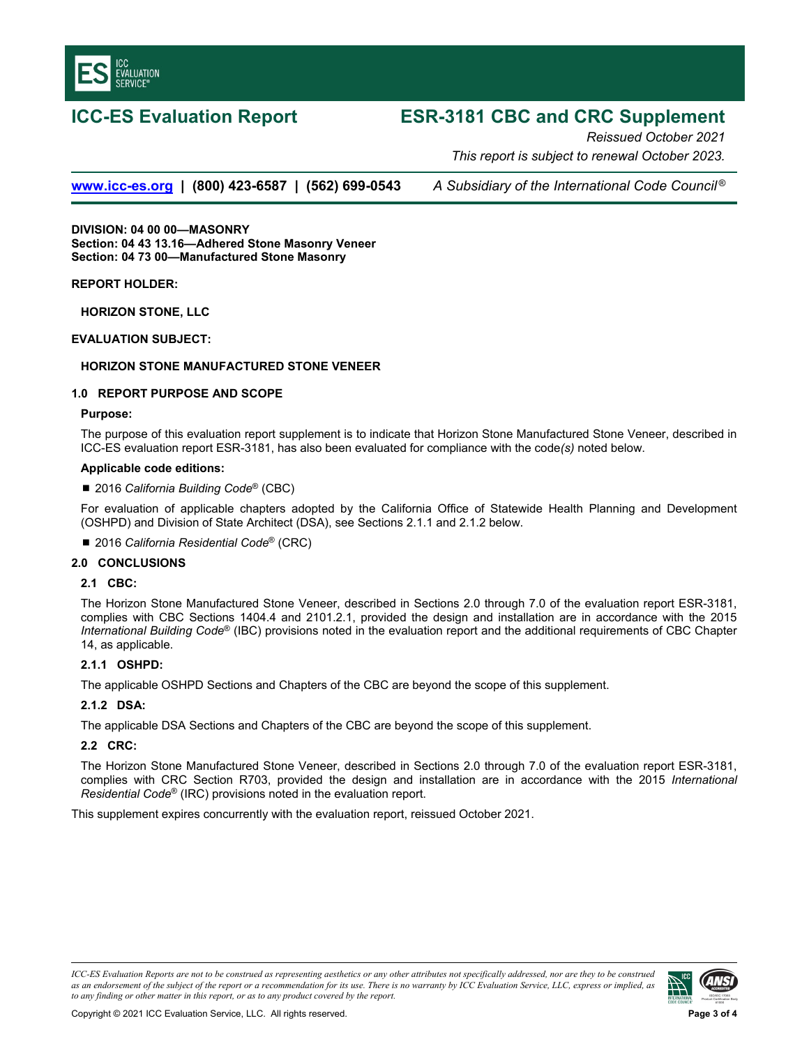

# **ICC-ES Evaluation Report ESR-3181 CBC and CRC Supplement**

*Reissued October 2021 This report is subject to renewal October 2023.* 

**www.icc-es.org | (800) 423-6587 | (562) 699-0543** *A Subsidiary of the International Code Council ®*

**DIVISION: 04 00 00—MASONRY Section: 04 43 13.16—Adhered Stone Masonry Veneer Section: 04 73 00—Manufactured Stone Masonry** 

**REPORT HOLDER:** 

**HORIZON STONE, LLC** 

**EVALUATION SUBJECT:** 

### **HORIZON STONE MANUFACTURED STONE VENEER**

### **1.0 REPORT PURPOSE AND SCOPE**

### **Purpose:**

The purpose of this evaluation report supplement is to indicate that Horizon Stone Manufactured Stone Veneer, described in ICC-ES evaluation report ESR-3181, has also been evaluated for compliance with the code*(s)* noted below.

### **Applicable code editions:**

### ■ 2016 *California Building Code<sup>®</sup> (CBC)*

For evaluation of applicable chapters adopted by the California Office of Statewide Health Planning and Development (OSHPD) and Division of State Architect (DSA), see Sections 2.1.1 and 2.1.2 below.

■ 2016 California Residential Code<sup>®</sup> (CRC)

### **2.0 CONCLUSIONS**

### **2.1 CBC:**

The Horizon Stone Manufactured Stone Veneer, described in Sections 2.0 through 7.0 of the evaluation report ESR-3181, complies with CBC Sections 1404.4 and 2101.2.1, provided the design and installation are in accordance with the 2015 *International Building Code*® (IBC) provisions noted in the evaluation report and the additional requirements of CBC Chapter 14, as applicable.

### **2.1.1 OSHPD:**

The applicable OSHPD Sections and Chapters of the CBC are beyond the scope of this supplement.

### **2.1.2 DSA:**

The applicable DSA Sections and Chapters of the CBC are beyond the scope of this supplement.

### **2.2 CRC:**

The Horizon Stone Manufactured Stone Veneer, described in Sections 2.0 through 7.0 of the evaluation report ESR-3181, complies with CRC Section R703, provided the design and installation are in accordance with the 2015 *International Residential Code*® (IRC) provisions noted in the evaluation report.

This supplement expires concurrently with the evaluation report, reissued October 2021.